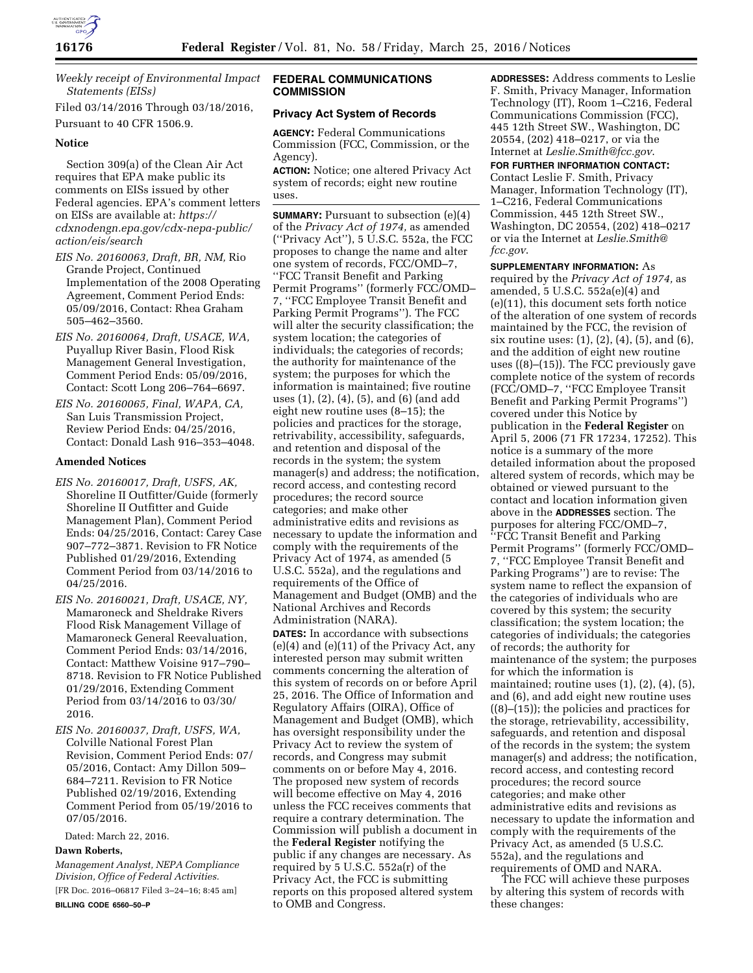

*Weekly receipt of Environmental Impact Statements (EISs)* 

Filed 03/14/2016 Through 03/18/2016, Pursuant to 40 CFR 1506.9.

### **Notice**

Section 309(a) of the Clean Air Act requires that EPA make public its comments on EISs issued by other Federal agencies. EPA's comment letters on EISs are available at: *[https://](https://cdxnodengn.epa.gov/cdx-nepa-public/action/eis/search) [cdxnodengn.epa.gov/cdx-nepa-public/](https://cdxnodengn.epa.gov/cdx-nepa-public/action/eis/search) [action/eis/search](https://cdxnodengn.epa.gov/cdx-nepa-public/action/eis/search)* 

- *EIS No. 20160063, Draft, BR, NM,* Rio Grande Project, Continued Implementation of the 2008 Operating Agreement, Comment Period Ends: 05/09/2016, Contact: Rhea Graham 505–462–3560.
- *EIS No. 20160064, Draft, USACE, WA,*  Puyallup River Basin, Flood Risk Management General Investigation, Comment Period Ends: 05/09/2016, Contact: Scott Long 206–764–6697.
- *EIS No. 20160065, Final, WAPA, CA,*  San Luis Transmission Project, Review Period Ends: 04/25/2016, Contact: Donald Lash 916–353–4048.

# **Amended Notices**

- *EIS No. 20160017, Draft, USFS, AK,*  Shoreline II Outfitter/Guide (formerly Shoreline II Outfitter and Guide Management Plan), Comment Period Ends: 04/25/2016, Contact: Carey Case 907–772–3871. Revision to FR Notice Published 01/29/2016, Extending Comment Period from 03/14/2016 to 04/25/2016.
- *EIS No. 20160021, Draft, USACE, NY,*  Mamaroneck and Sheldrake Rivers Flood Risk Management Village of Mamaroneck General Reevaluation, Comment Period Ends: 03/14/2016, Contact: Matthew Voisine 917–790– 8718. Revision to FR Notice Published 01/29/2016, Extending Comment Period from 03/14/2016 to 03/30/ 2016.
- *EIS No. 20160037, Draft, USFS, WA,*  Colville National Forest Plan Revision, Comment Period Ends: 07/ 05/2016, Contact: Amy Dillon 509– 684–7211. Revision to FR Notice Published 02/19/2016, Extending Comment Period from 05/19/2016 to 07/05/2016.

Dated: March 22, 2016.

# **Dawn Roberts,**

*Management Analyst, NEPA Compliance Division, Office of Federal Activities.*  [FR Doc. 2016–06817 Filed 3–24–16; 8:45 am] **BILLING CODE 6560–50–P** 

# **FEDERAL COMMUNICATIONS COMMISSION**

# **Privacy Act System of Records**

**AGENCY:** Federal Communications Commission (FCC, Commission, or the Agency).

**ACTION:** Notice; one altered Privacy Act system of records; eight new routine uses.

**SUMMARY:** Pursuant to subsection (e)(4) of the *Privacy Act of 1974,* as amended (''Privacy Act''), 5 U.S.C. 552a, the FCC proposes to change the name and alter one system of records, FCC/OMD–7, ''FCC Transit Benefit and Parking Permit Programs'' (formerly FCC/OMD– 7, ''FCC Employee Transit Benefit and Parking Permit Programs''). The FCC will alter the security classification; the system location; the categories of individuals; the categories of records; the authority for maintenance of the system; the purposes for which the information is maintained; five routine uses (1), (2), (4), (5), and (6) (and add eight new routine uses (8–15); the policies and practices for the storage, retrivability, accessibility, safeguards, and retention and disposal of the records in the system; the system manager(s) and address; the notification, record access, and contesting record procedures; the record source categories; and make other administrative edits and revisions as necessary to update the information and comply with the requirements of the Privacy Act of 1974, as amended (5 U.S.C. 552a), and the regulations and requirements of the Office of Management and Budget (OMB) and the National Archives and Records Administration (NARA).

**DATES:** In accordance with subsections (e)(4) and (e)(11) of the Privacy Act, any interested person may submit written comments concerning the alteration of this system of records on or before April 25, 2016. The Office of Information and Regulatory Affairs (OIRA), Office of Management and Budget (OMB), which has oversight responsibility under the Privacy Act to review the system of records, and Congress may submit comments on or before May 4, 2016. The proposed new system of records will become effective on May 4, 2016 unless the FCC receives comments that require a contrary determination. The Commission will publish a document in the **Federal Register** notifying the public if any changes are necessary. As required by 5 U.S.C. 552a(r) of the Privacy Act, the FCC is submitting reports on this proposed altered system to OMB and Congress.

**ADDRESSES:** Address comments to Leslie F. Smith, Privacy Manager, Information Technology (IT), Room 1–C216, Federal Communications Commission (FCC), 445 12th Street SW., Washington, DC 20554, (202) 418–0217, or via the Internet at *[Leslie.Smith@fcc.gov](mailto:Leslie.Smith@fcc.gov)*.

**FOR FURTHER INFORMATION CONTACT:**  Contact Leslie F. Smith, Privacy Manager, Information Technology (IT), 1–C216, Federal Communications Commission, 445 12th Street SW., Washington, DC 20554, (202) 418–0217 or via the Internet at *[Leslie.Smith@](mailto:Leslie.Smith@fcc.gov) [fcc.gov](mailto:Leslie.Smith@fcc.gov)*.

#### **SUPPLEMENTARY INFORMATION:** As

required by the *Privacy Act of 1974,* as amended, 5 U.S.C. 552a(e)(4) and (e)(11), this document sets forth notice of the alteration of one system of records maintained by the FCC, the revision of six routine uses: (1), (2), (4), (5), and (6), and the addition of eight new routine uses ((8)–(15)). The FCC previously gave complete notice of the system of records (FCC/OMD–7, ''FCC Employee Transit Benefit and Parking Permit Programs'') covered under this Notice by publication in the **Federal Register** on April 5, 2006 (71 FR 17234, 17252). This notice is a summary of the more detailed information about the proposed altered system of records, which may be obtained or viewed pursuant to the contact and location information given above in the **ADDRESSES** section. The purposes for altering FCC/OMD–7, ''FCC Transit Benefit and Parking Permit Programs'' (formerly FCC/OMD– 7, ''FCC Employee Transit Benefit and Parking Programs'') are to revise: The system name to reflect the expansion of the categories of individuals who are covered by this system; the security classification; the system location; the categories of individuals; the categories of records; the authority for maintenance of the system; the purposes for which the information is maintained; routine uses  $(1)$ ,  $(2)$ ,  $(4)$ ,  $(5)$ , and (6), and add eight new routine uses ((8)–(15)); the policies and practices for the storage, retrievability, accessibility, safeguards, and retention and disposal of the records in the system; the system manager(s) and address; the notification, record access, and contesting record procedures; the record source categories; and make other administrative edits and revisions as necessary to update the information and comply with the requirements of the Privacy Act, as amended (5 U.S.C. 552a), and the regulations and requirements of OMD and NARA.

The FCC will achieve these purposes by altering this system of records with these changes: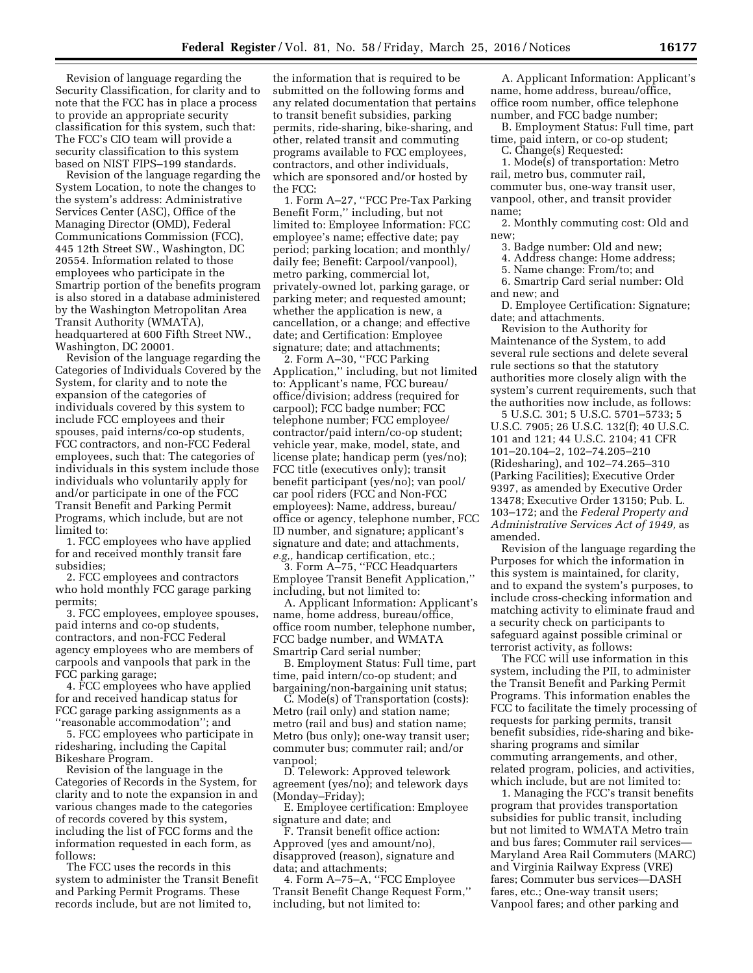Revision of language regarding the Security Classification, for clarity and to note that the FCC has in place a process to provide an appropriate security classification for this system, such that: The FCC's CIO team will provide a security classification to this system based on NIST FIPS–199 standards.

Revision of the language regarding the System Location, to note the changes to the system's address: Administrative Services Center (ASC), Office of the Managing Director (OMD), Federal Communications Commission (FCC), 445 12th Street SW., Washington, DC 20554. Information related to those employees who participate in the Smartrip portion of the benefits program is also stored in a database administered by the Washington Metropolitan Area Transit Authority (WMATA), headquartered at 600 Fifth Street NW., Washington, DC 20001.

Revision of the language regarding the Categories of Individuals Covered by the System, for clarity and to note the expansion of the categories of individuals covered by this system to include FCC employees and their spouses, paid interns/co-op students, FCC contractors, and non-FCC Federal employees, such that: The categories of individuals in this system include those individuals who voluntarily apply for and/or participate in one of the FCC Transit Benefit and Parking Permit Programs, which include, but are not limited to:

1. FCC employees who have applied for and received monthly transit fare subsidies;

2. FCC employees and contractors who hold monthly FCC garage parking permits;

3. FCC employees, employee spouses, paid interns and co-op students, contractors, and non-FCC Federal agency employees who are members of carpools and vanpools that park in the FCC parking garage;

4. FCC employees who have applied for and received handicap status for FCC garage parking assignments as a ''reasonable accommodation''; and

5. FCC employees who participate in ridesharing, including the Capital Bikeshare Program.

Revision of the language in the Categories of Records in the System, for clarity and to note the expansion in and various changes made to the categories of records covered by this system, including the list of FCC forms and the information requested in each form, as follows:

The FCC uses the records in this system to administer the Transit Benefit and Parking Permit Programs. These records include, but are not limited to,

the information that is required to be submitted on the following forms and any related documentation that pertains to transit benefit subsidies, parking permits, ride-sharing, bike-sharing, and other, related transit and commuting programs available to FCC employees, contractors, and other individuals, which are sponsored and/or hosted by the FCC:

1. Form A–27, ''FCC Pre-Tax Parking Benefit Form,'' including, but not limited to: Employee Information: FCC employee's name; effective date; pay period; parking location; and monthly/ daily fee; Benefit: Carpool/vanpool), metro parking, commercial lot, privately-owned lot, parking garage, or parking meter; and requested amount; whether the application is new, a cancellation, or a change; and effective date; and Certification: Employee signature; date; and attachments;

2. Form A–30, ''FCC Parking Application,'' including, but not limited to: Applicant's name, FCC bureau/ office/division; address (required for carpool); FCC badge number; FCC telephone number; FCC employee/ contractor/paid intern/co-op student; vehicle year, make, model, state, and license plate; handicap perm (yes/no); FCC title (executives only); transit benefit participant (yes/no); van pool/ car pool riders (FCC and Non-FCC employees): Name, address, bureau/ office or agency, telephone number, FCC ID number, and signature; applicant's signature and date; and attachments, *e.g,,* handicap certification, etc.;

3. Form A–75, ''FCC Headquarters Employee Transit Benefit Application,'' including, but not limited to:

A. Applicant Information: Applicant's name, home address, bureau/office, office room number, telephone number, FCC badge number, and WMATA Smartrip Card serial number;

B. Employment Status: Full time, part time, paid intern/co-op student; and bargaining/non-bargaining unit status;

C. Mode(s) of Transportation (costs): Metro (rail only) and station name; metro (rail and bus) and station name; Metro (bus only); one-way transit user; commuter bus; commuter rail; and/or vanpool;

D. Telework: Approved telework agreement (yes/no); and telework days (Monday–Friday);

E. Employee certification: Employee signature and date; and

F. Transit benefit office action: Approved (yes and amount/no), disapproved (reason), signature and data; and attachments;

4. Form A–75–A, ''FCC Employee Transit Benefit Change Request Form,'' including, but not limited to:

A. Applicant Information: Applicant's name, home address, bureau/office, office room number, office telephone number, and FCC badge number;

B. Employment Status: Full time, part time, paid intern, or co-op student;

C. Change(s) Requested:

1. Mode(s) of transportation: Metro rail, metro bus, commuter rail, commuter bus, one-way transit user, vanpool, other, and transit provider name;

2. Monthly commuting cost: Old and new;

3. Badge number: Old and new;

4. Address change: Home address;

5. Name change: From/to; and

6. Smartrip Card serial number: Old and new; and

D. Employee Certification: Signature; date; and attachments.

Revision to the Authority for Maintenance of the System, to add several rule sections and delete several rule sections so that the statutory authorities more closely align with the system's current requirements, such that the authorities now include, as follows:

5 U.S.C. 301; 5 U.S.C. 5701–5733; 5 U.S.C. 7905; 26 U.S.C. 132(f); 40 U.S.C. 101 and 121; 44 U.S.C. 2104; 41 CFR 101–20.104–2, 102–74.205–210 (Ridesharing), and 102–74.265–310 (Parking Facilities); Executive Order 9397, as amended by Executive Order 13478; Executive Order 13150; Pub. L. 103–172; and the *Federal Property and Administrative Services Act of 1949,* as amended.

Revision of the language regarding the Purposes for which the information in this system is maintained, for clarity, and to expand the system's purposes, to include cross-checking information and matching activity to eliminate fraud and a security check on participants to safeguard against possible criminal or terrorist activity, as follows:

The FCC will use information in this system, including the PII, to administer the Transit Benefit and Parking Permit Programs. This information enables the FCC to facilitate the timely processing of requests for parking permits, transit benefit subsidies, ride-sharing and bikesharing programs and similar commuting arrangements, and other, related program, policies, and activities, which include, but are not limited to:

1. Managing the FCC's transit benefits program that provides transportation subsidies for public transit, including but not limited to WMATA Metro train and bus fares; Commuter rail services— Maryland Area Rail Commuters (MARC) and Virginia Railway Express (VRE) fares; Commuter bus services—DASH fares, etc.; One-way transit users; Vanpool fares; and other parking and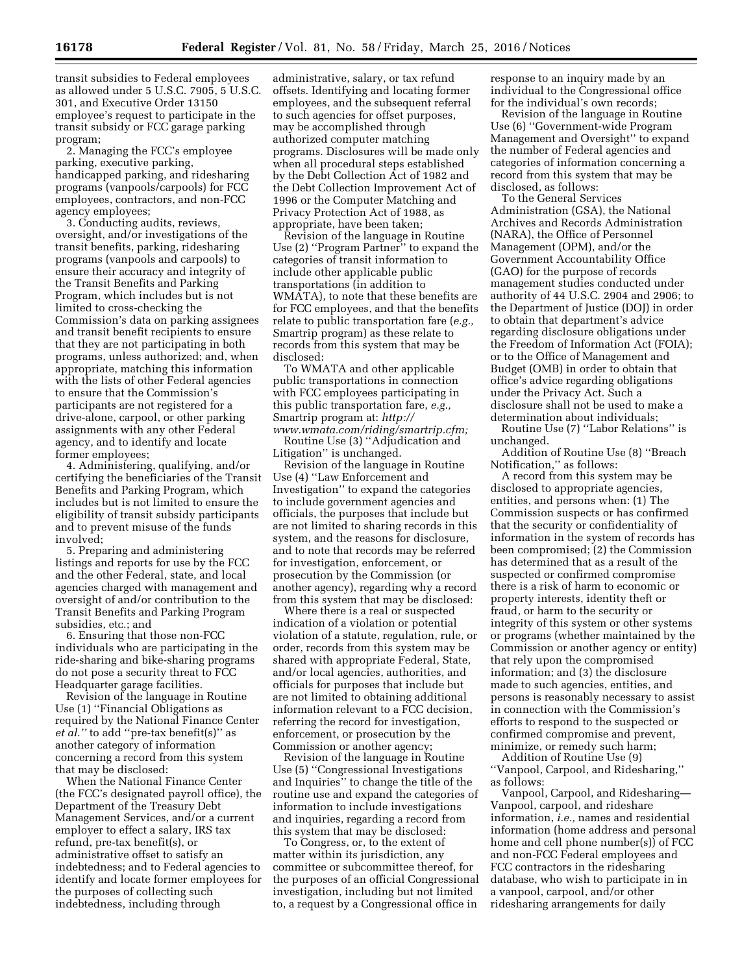transit subsidies to Federal employees as allowed under 5 U.S.C. 7905, 5 U.S.C. 301, and Executive Order 13150 employee's request to participate in the transit subsidy or FCC garage parking program;

2. Managing the FCC's employee parking, executive parking, handicapped parking, and ridesharing programs (vanpools/carpools) for FCC employees, contractors, and non-FCC agency employees;

3. Conducting audits, reviews, oversight, and/or investigations of the transit benefits, parking, ridesharing programs (vanpools and carpools) to ensure their accuracy and integrity of the Transit Benefits and Parking Program, which includes but is not limited to cross-checking the Commission's data on parking assignees and transit benefit recipients to ensure that they are not participating in both programs, unless authorized; and, when appropriate, matching this information with the lists of other Federal agencies to ensure that the Commission's participants are not registered for a drive-alone, carpool, or other parking assignments with any other Federal agency, and to identify and locate former employees;

4. Administering, qualifying, and/or certifying the beneficiaries of the Transit Benefits and Parking Program, which includes but is not limited to ensure the eligibility of transit subsidy participants and to prevent misuse of the funds involved;

5. Preparing and administering listings and reports for use by the FCC and the other Federal, state, and local agencies charged with management and oversight of and/or contribution to the Transit Benefits and Parking Program subsidies, etc.; and

6. Ensuring that those non-FCC individuals who are participating in the ride-sharing and bike-sharing programs do not pose a security threat to FCC Headquarter garage facilities.

Revision of the language in Routine Use (1) ''Financial Obligations as required by the National Finance Center *et al.''* to add ''pre-tax benefit(s)'' as another category of information concerning a record from this system that may be disclosed:

When the National Finance Center (the FCC's designated payroll office), the Department of the Treasury Debt Management Services, and/or a current employer to effect a salary, IRS tax refund, pre-tax benefit(s), or administrative offset to satisfy an indebtedness; and to Federal agencies to identify and locate former employees for the purposes of collecting such indebtedness, including through

administrative, salary, or tax refund offsets. Identifying and locating former employees, and the subsequent referral to such agencies for offset purposes, may be accomplished through authorized computer matching programs. Disclosures will be made only when all procedural steps established by the Debt Collection Act of 1982 and the Debt Collection Improvement Act of 1996 or the Computer Matching and Privacy Protection Act of 1988, as appropriate, have been taken;

Revision of the language in Routine Use (2) ''Program Partner'' to expand the categories of transit information to include other applicable public transportations (in addition to WMATA), to note that these benefits are for FCC employees, and that the benefits relate to public transportation fare (*e.g.,*  Smartrip program) as these relate to records from this system that may be disclosed:

To WMATA and other applicable public transportations in connection with FCC employees participating in this public transportation fare, *e.g.,*  Smartrip program at: *[http://](http://www.wmata.com/riding/smartrip.cfm) [www.wmata.com/riding/smartrip.cfm;](http://www.wmata.com/riding/smartrip.cfm)* 

Routine Use (3) ''Adjudication and Litigation'' is unchanged.

Revision of the language in Routine Use (4) ''Law Enforcement and Investigation'' to expand the categories to include government agencies and officials, the purposes that include but are not limited to sharing records in this system, and the reasons for disclosure, and to note that records may be referred for investigation, enforcement, or prosecution by the Commission (or another agency), regarding why a record from this system that may be disclosed:

Where there is a real or suspected indication of a violation or potential violation of a statute, regulation, rule, or order, records from this system may be shared with appropriate Federal, State, and/or local agencies, authorities, and officials for purposes that include but are not limited to obtaining additional information relevant to a FCC decision, referring the record for investigation, enforcement, or prosecution by the Commission or another agency;

Revision of the language in Routine Use (5) ''Congressional Investigations and Inquiries'' to change the title of the routine use and expand the categories of information to include investigations and inquiries, regarding a record from this system that may be disclosed:

To Congress, or, to the extent of matter within its jurisdiction, any committee or subcommittee thereof, for the purposes of an official Congressional investigation, including but not limited to, a request by a Congressional office in

response to an inquiry made by an individual to the Congressional office for the individual's own records;

Revision of the language in Routine Use (6) ''Government-wide Program Management and Oversight'' to expand the number of Federal agencies and categories of information concerning a record from this system that may be disclosed, as follows:

To the General Services Administration (GSA), the National Archives and Records Administration (NARA), the Office of Personnel Management (OPM), and/or the Government Accountability Office (GAO) for the purpose of records management studies conducted under authority of 44 U.S.C. 2904 and 2906; to the Department of Justice (DOJ) in order to obtain that department's advice regarding disclosure obligations under the Freedom of Information Act (FOIA); or to the Office of Management and Budget (OMB) in order to obtain that office's advice regarding obligations under the Privacy Act. Such a disclosure shall not be used to make a determination about individuals; Routine Use (7) ''Labor Relations'' is

unchanged.

Addition of Routine Use (8) ''Breach Notification,'' as follows:

A record from this system may be disclosed to appropriate agencies, entities, and persons when: (1) The Commission suspects or has confirmed that the security or confidentiality of information in the system of records has been compromised; (2) the Commission has determined that as a result of the suspected or confirmed compromise there is a risk of harm to economic or property interests, identity theft or fraud, or harm to the security or integrity of this system or other systems or programs (whether maintained by the Commission or another agency or entity) that rely upon the compromised information; and (3) the disclosure made to such agencies, entities, and persons is reasonably necessary to assist in connection with the Commission's efforts to respond to the suspected or confirmed compromise and prevent, minimize, or remedy such harm;

Addition of Routine Use (9) ''Vanpool, Carpool, and Ridesharing,'' as follows:

Vanpool, Carpool, and Ridesharing— Vanpool, carpool, and rideshare information, *i.e.,* names and residential information (home address and personal home and cell phone number(s)) of FCC and non-FCC Federal employees and FCC contractors in the ridesharing database, who wish to participate in in a vanpool, carpool, and/or other ridesharing arrangements for daily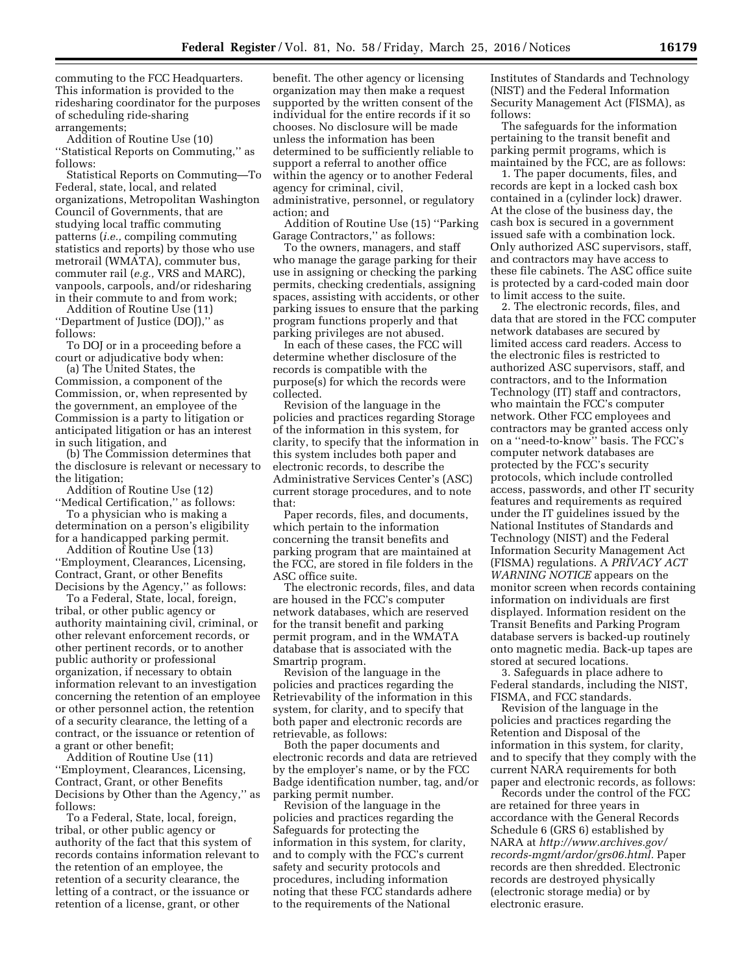commuting to the FCC Headquarters. This information is provided to the ridesharing coordinator for the purposes of scheduling ride-sharing arrangements;

Addition of Routine Use (10) ''Statistical Reports on Commuting,'' as follows:

Statistical Reports on Commuting—To Federal, state, local, and related organizations, Metropolitan Washington Council of Governments, that are studying local traffic commuting patterns (*i.e.,* compiling commuting statistics and reports) by those who use metrorail (WMATA), commuter bus, commuter rail (*e.g.,* VRS and MARC), vanpools, carpools, and/or ridesharing in their commute to and from work;

Addition of Routine Use (11) ''Department of Justice (DOJ),'' as follows:

To DOJ or in a proceeding before a court or adjudicative body when:

(a) The United States, the Commission, a component of the Commission, or, when represented by the government, an employee of the Commission is a party to litigation or anticipated litigation or has an interest in such litigation, and

(b) The Commission determines that the disclosure is relevant or necessary to the litigation;

Addition of Routine Use (12) ''Medical Certification,'' as follows:

To a physician who is making a determination on a person's eligibility for a handicapped parking permit.

Addition of Routine Use (13) ''Employment, Clearances, Licensing, Contract, Grant, or other Benefits Decisions by the Agency,'' as follows:

To a Federal, State, local, foreign, tribal, or other public agency or authority maintaining civil, criminal, or other relevant enforcement records, or other pertinent records, or to another public authority or professional organization, if necessary to obtain information relevant to an investigation concerning the retention of an employee or other personnel action, the retention of a security clearance, the letting of a contract, or the issuance or retention of a grant or other benefit;

Addition of Routine Use (11) ''Employment, Clearances, Licensing, Contract, Grant, or other Benefits Decisions by Other than the Agency,'' as follows:

To a Federal, State, local, foreign, tribal, or other public agency or authority of the fact that this system of records contains information relevant to the retention of an employee, the retention of a security clearance, the letting of a contract, or the issuance or retention of a license, grant, or other

benefit. The other agency or licensing organization may then make a request supported by the written consent of the individual for the entire records if it so chooses. No disclosure will be made unless the information has been determined to be sufficiently reliable to support a referral to another office within the agency or to another Federal agency for criminal, civil, administrative, personnel, or regulatory action; and

Addition of Routine Use (15) ''Parking Garage Contractors,'' as follows:

To the owners, managers, and staff who manage the garage parking for their use in assigning or checking the parking permits, checking credentials, assigning spaces, assisting with accidents, or other parking issues to ensure that the parking program functions properly and that parking privileges are not abused.

In each of these cases, the FCC will determine whether disclosure of the records is compatible with the purpose(s) for which the records were collected.

Revision of the language in the policies and practices regarding Storage of the information in this system, for clarity, to specify that the information in this system includes both paper and electronic records, to describe the Administrative Services Center's (ASC) current storage procedures, and to note that:

Paper records, files, and documents, which pertain to the information concerning the transit benefits and parking program that are maintained at the FCC, are stored in file folders in the ASC office suite.

The electronic records, files, and data are housed in the FCC's computer network databases, which are reserved for the transit benefit and parking permit program, and in the WMATA database that is associated with the Smartrip program.

Revision of the language in the policies and practices regarding the Retrievability of the information in this system, for clarity, and to specify that both paper and electronic records are retrievable, as follows:

Both the paper documents and electronic records and data are retrieved by the employer's name, or by the FCC Badge identification number, tag, and/or parking permit number.

Revision of the language in the policies and practices regarding the Safeguards for protecting the information in this system, for clarity, and to comply with the FCC's current safety and security protocols and procedures, including information noting that these FCC standards adhere to the requirements of the National

Institutes of Standards and Technology (NIST) and the Federal Information Security Management Act (FISMA), as follows:

The safeguards for the information pertaining to the transit benefit and parking permit programs, which is maintained by the FCC, are as follows:

1. The paper documents, files, and records are kept in a locked cash box contained in a (cylinder lock) drawer. At the close of the business day, the cash box is secured in a government issued safe with a combination lock. Only authorized ASC supervisors, staff, and contractors may have access to these file cabinets. The ASC office suite is protected by a card-coded main door to limit access to the suite.

2. The electronic records, files, and data that are stored in the FCC computer network databases are secured by limited access card readers. Access to the electronic files is restricted to authorized ASC supervisors, staff, and contractors, and to the Information Technology (IT) staff and contractors, who maintain the FCC's computer network. Other FCC employees and contractors may be granted access only on a ''need-to-know'' basis. The FCC's computer network databases are protected by the FCC's security protocols, which include controlled access, passwords, and other IT security features and requirements as required under the IT guidelines issued by the National Institutes of Standards and Technology (NIST) and the Federal Information Security Management Act (FISMA) regulations. A *PRIVACY ACT WARNING NOTICE* appears on the monitor screen when records containing information on individuals are first displayed. Information resident on the Transit Benefits and Parking Program database servers is backed-up routinely onto magnetic media. Back-up tapes are stored at secured locations.

3. Safeguards in place adhere to Federal standards, including the NIST, FISMA, and FCC standards.

Revision of the language in the policies and practices regarding the Retention and Disposal of the information in this system, for clarity, and to specify that they comply with the current NARA requirements for both paper and electronic records, as follows:

Records under the control of the FCC are retained for three years in accordance with the General Records Schedule 6 (GRS 6) established by NARA at *[http://www.archives.gov/](http://www.archives.gov/records-mgmt/ardor/grs06.html) [records-mgmt/ardor/grs06.html.](http://www.archives.gov/records-mgmt/ardor/grs06.html)* Paper records are then shredded. Electronic records are destroyed physically (electronic storage media) or by electronic erasure.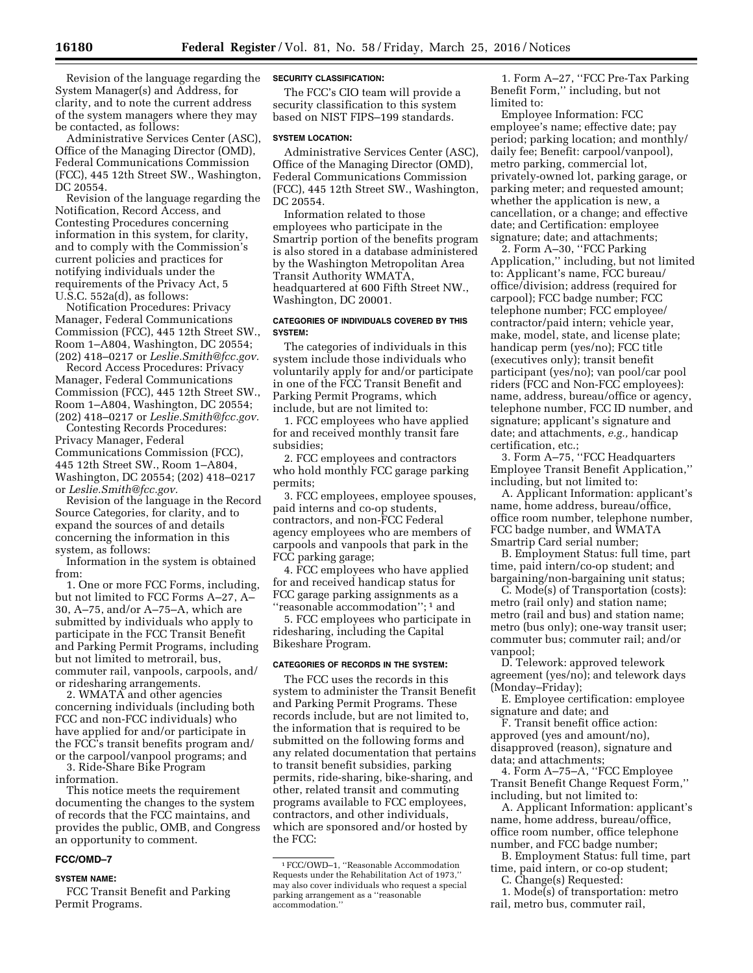Revision of the language regarding the System Manager(s) and Address, for clarity, and to note the current address of the system managers where they may be contacted, as follows:

Administrative Services Center (ASC), Office of the Managing Director (OMD), Federal Communications Commission (FCC), 445 12th Street SW., Washington, DC 20554.

Revision of the language regarding the Notification, Record Access, and Contesting Procedures concerning information in this system, for clarity, and to comply with the Commission's current policies and practices for notifying individuals under the requirements of the Privacy Act, 5 U.S.C. 552a(d), as follows:

Notification Procedures: Privacy Manager, Federal Communications Commission (FCC), 445 12th Street SW., Room 1–A804, Washington, DC 20554; (202) 418–0217 or *[Leslie.Smith@fcc.gov.](mailto:Leslie.Smith@fcc.gov)* 

Record Access Procedures: Privacy Manager, Federal Communications Commission (FCC), 445 12th Street SW., Room 1–A804, Washington, DC 20554; (202) 418–0217 or *[Leslie.Smith@fcc.gov.](mailto:Leslie.Smith@fcc.gov)* 

Contesting Records Procedures: Privacy Manager, Federal Communications Commission (FCC), 445 12th Street SW., Room 1–A804, Washington, DC 20554; (202) 418–0217 or *[Leslie.Smith@fcc.gov.](mailto:Leslie.Smith@fcc.gov)* 

Revision of the language in the Record Source Categories, for clarity, and to expand the sources of and details concerning the information in this system, as follows:

Information in the system is obtained from:

1. One or more FCC Forms, including, but not limited to FCC Forms A–27, A– 30, A–75, and/or A–75–A, which are submitted by individuals who apply to participate in the FCC Transit Benefit and Parking Permit Programs, including but not limited to metrorail, bus, commuter rail, vanpools, carpools, and/ or ridesharing arrangements.

2. WMATA and other agencies concerning individuals (including both FCC and non-FCC individuals) who have applied for and/or participate in the FCC's transit benefits program and/ or the carpool/vanpool programs; and

3. Ride-Share Bike Program information.

This notice meets the requirement documenting the changes to the system of records that the FCC maintains, and provides the public, OMB, and Congress an opportunity to comment.

### **FCC/OMD–7**

#### **SYSTEM NAME:**

FCC Transit Benefit and Parking Permit Programs.

### **SECURITY CLASSIFICATION:**

The FCC's CIO team will provide a security classification to this system based on NIST FIPS–199 standards.

#### **SYSTEM LOCATION:**

Administrative Services Center (ASC), Office of the Managing Director (OMD), Federal Communications Commission (FCC), 445 12th Street SW., Washington, DC 20554.

Information related to those employees who participate in the Smartrip portion of the benefits program is also stored in a database administered by the Washington Metropolitan Area Transit Authority WMATA, headquartered at 600 Fifth Street NW., Washington, DC 20001.

### **CATEGORIES OF INDIVIDUALS COVERED BY THIS SYSTEM:**

The categories of individuals in this system include those individuals who voluntarily apply for and/or participate in one of the FCC Transit Benefit and Parking Permit Programs, which include, but are not limited to:

1. FCC employees who have applied for and received monthly transit fare subsidies;

2. FCC employees and contractors who hold monthly FCC garage parking permits;

3. FCC employees, employee spouses, paid interns and co-op students, contractors, and non-FCC Federal agency employees who are members of carpools and vanpools that park in the FCC parking garage;

4. FCC employees who have applied for and received handicap status for FCC garage parking assignments as a ''reasonable accommodation''; 1 and

5. FCC employees who participate in ridesharing, including the Capital Bikeshare Program.

### **CATEGORIES OF RECORDS IN THE SYSTEM:**

The FCC uses the records in this system to administer the Transit Benefit and Parking Permit Programs. These records include, but are not limited to, the information that is required to be submitted on the following forms and any related documentation that pertains to transit benefit subsidies, parking permits, ride-sharing, bike-sharing, and other, related transit and commuting programs available to FCC employees, contractors, and other individuals, which are sponsored and/or hosted by the FCC:

1. Form A–27, ''FCC Pre-Tax Parking Benefit Form,'' including, but not limited to:

Employee Information: FCC employee's name; effective date; pay period; parking location; and monthly/ daily fee; Benefit: carpool/vanpool), metro parking, commercial lot, privately-owned lot, parking garage, or parking meter; and requested amount; whether the application is new, a cancellation, or a change; and effective date; and Certification: employee signature; date; and attachments;

2. Form A–30, ''FCC Parking Application,'' including, but not limited to: Applicant's name, FCC bureau/ office/division; address (required for carpool); FCC badge number; FCC telephone number; FCC employee/ contractor/paid intern; vehicle year, make, model, state, and license plate; handicap perm (yes/no); FCC title (executives only); transit benefit participant (yes/no); van pool/car pool riders (FCC and Non-FCC employees): name, address, bureau/office or agency, telephone number, FCC ID number, and signature; applicant's signature and date; and attachments, *e.g.,* handicap certification, etc.;

3. Form A–75, ''FCC Headquarters Employee Transit Benefit Application,'' including, but not limited to:

A. Applicant Information: applicant's name, home address, bureau/office, office room number, telephone number, FCC badge number, and WMATA Smartrip Card serial number;

B. Employment Status: full time, part time, paid intern/co-op student; and bargaining/non-bargaining unit status;

C. Mode(s) of Transportation (costs): metro (rail only) and station name; metro (rail and bus) and station name; metro (bus only); one-way transit user; commuter bus; commuter rail; and/or vanpool;

D. Telework: approved telework agreement (yes/no); and telework days (Monday–Friday);

E. Employee certification: employee signature and date; and

F. Transit benefit office action: approved (yes and amount/no), disapproved (reason), signature and data; and attachments;

4. Form A–75–A, ''FCC Employee Transit Benefit Change Request Form,'' including, but not limited to:

A. Applicant Information: applicant's name, home address, bureau/office, office room number, office telephone number, and FCC badge number;

B. Employment Status: full time, part time, paid intern, or co-op student; C. Change(s) Requested:

1. Mode(s) of transportation: metro rail, metro bus, commuter rail,

<sup>1</sup>FCC/OWD–1, ''Reasonable Accommodation Requests under the Rehabilitation Act of 1973, may also cover individuals who request a special parking arrangement as a ''reasonable accommodation.''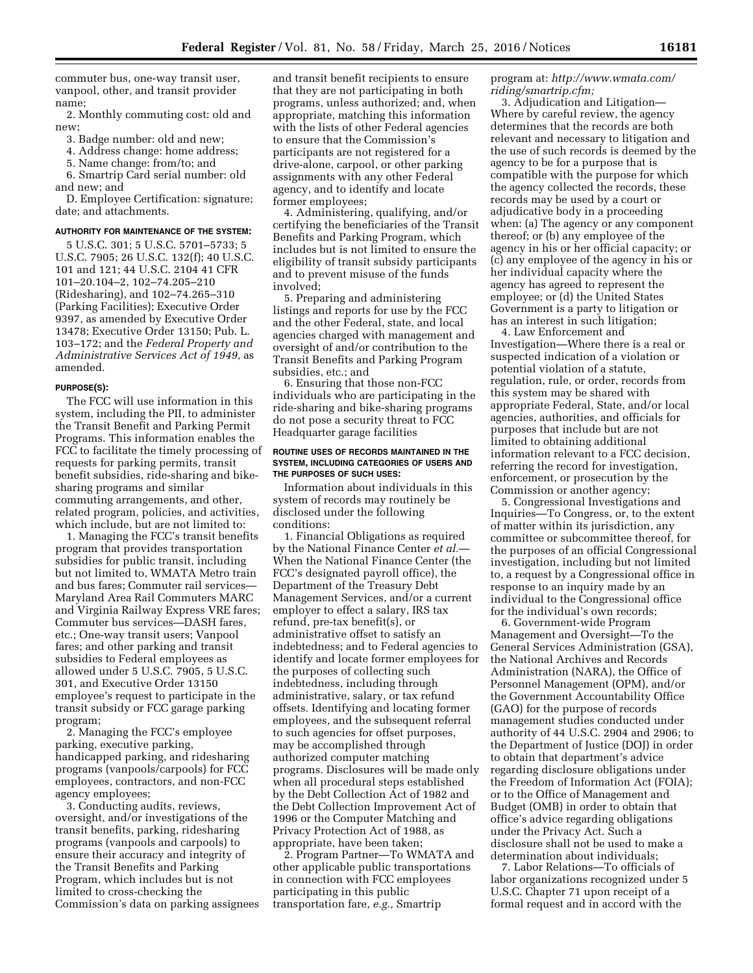commuter bus, one-way transit user, vanpool, other, and transit provider name;

2. Monthly commuting cost: old and new;

- 3. Badge number: old and new;
- 4. Address change: home address;
- 5. Name change: from/to; and
- 6. Smartrip Card serial number: old

and new; and D. Employee Certification: signature; date; and attachments.

#### **AUTHORITY FOR MAINTENANCE OF THE SYSTEM:**

5 U.S.C. 301; 5 U.S.C. 5701–5733; 5 U.S.C. 7905; 26 U.S.C. 132(f); 40 U.S.C. 101 and 121; 44 U.S.C. 2104 41 CFR 101–20.104–2, 102–74.205–210 (Ridesharing), and 102–74.265–310 (Parking Facilities); Executive Order 9397, as amended by Executive Order 13478; Executive Order 13150; Pub. L. 103–172; and the *Federal Property and Administrative Services Act of 1949,* as amended.

#### **PURPOSE(S):**

The FCC will use information in this system, including the PII, to administer the Transit Benefit and Parking Permit Programs. This information enables the FCC to facilitate the timely processing of requests for parking permits, transit benefit subsidies, ride-sharing and bikesharing programs and similar commuting arrangements, and other, related program, policies, and activities, which include, but are not limited to:

1. Managing the FCC's transit benefits program that provides transportation subsidies for public transit, including but not limited to, WMATA Metro train and bus fares; Commuter rail services— Maryland Area Rail Commuters MARC and Virginia Railway Express VRE fares; Commuter bus services—DASH fares, etc.; One-way transit users; Vanpool fares; and other parking and transit subsidies to Federal employees as allowed under 5 U.S.C. 7905, 5 U.S.C. 301, and Executive Order 13150 employee's request to participate in the transit subsidy or FCC garage parking program;

2. Managing the FCC's employee parking, executive parking, handicapped parking, and ridesharing programs (vanpools/carpools) for FCC employees, contractors, and non-FCC agency employees;

3. Conducting audits, reviews, oversight, and/or investigations of the transit benefits, parking, ridesharing programs (vanpools and carpools) to ensure their accuracy and integrity of the Transit Benefits and Parking Program, which includes but is not limited to cross-checking the Commission's data on parking assignees and transit benefit recipients to ensure that they are not participating in both programs, unless authorized; and, when appropriate, matching this information with the lists of other Federal agencies to ensure that the Commission's participants are not registered for a drive-alone, carpool, or other parking assignments with any other Federal agency, and to identify and locate former employees;

4. Administering, qualifying, and/or certifying the beneficiaries of the Transit Benefits and Parking Program, which includes but is not limited to ensure the eligibility of transit subsidy participants and to prevent misuse of the funds involved;

5. Preparing and administering listings and reports for use by the FCC and the other Federal, state, and local agencies charged with management and oversight of and/or contribution to the Transit Benefits and Parking Program subsidies, etc.; and

6. Ensuring that those non-FCC individuals who are participating in the ride-sharing and bike-sharing programs do not pose a security threat to FCC Headquarter garage facilities

#### **ROUTINE USES OF RECORDS MAINTAINED IN THE SYSTEM, INCLUDING CATEGORIES OF USERS AND THE PURPOSES OF SUCH USES:**

Information about individuals in this system of records may routinely be disclosed under the following conditions:

1. Financial Obligations as required by the National Finance Center *et al.*— When the National Finance Center (the FCC's designated payroll office), the Department of the Treasury Debt Management Services, and/or a current employer to effect a salary, IRS tax refund, pre-tax benefit(s), or administrative offset to satisfy an indebtedness; and to Federal agencies to identify and locate former employees for the purposes of collecting such indebtedness, including through administrative, salary, or tax refund offsets. Identifying and locating former employees, and the subsequent referral to such agencies for offset purposes, may be accomplished through authorized computer matching programs. Disclosures will be made only when all procedural steps established by the Debt Collection Act of 1982 and the Debt Collection Improvement Act of 1996 or the Computer Matching and Privacy Protection Act of 1988, as appropriate, have been taken;

2. Program Partner—To WMATA and other applicable public transportations in connection with FCC employees participating in this public transportation fare, *e.g.,* Smartrip

program at: *[http://www.wmata.com/](http://www.wmata.com/riding/smartrip.cfm) [riding/smartrip.cfm;](http://www.wmata.com/riding/smartrip.cfm)* 

3. Adjudication and Litigation— Where by careful review, the agency determines that the records are both relevant and necessary to litigation and the use of such records is deemed by the agency to be for a purpose that is compatible with the purpose for which the agency collected the records, these records may be used by a court or adjudicative body in a proceeding when: (a) The agency or any component thereof; or (b) any employee of the agency in his or her official capacity; or (c) any employee of the agency in his or her individual capacity where the agency has agreed to represent the employee; or (d) the United States Government is a party to litigation or has an interest in such litigation;

4. Law Enforcement and Investigation—Where there is a real or suspected indication of a violation or potential violation of a statute, regulation, rule, or order, records from this system may be shared with appropriate Federal, State, and/or local agencies, authorities, and officials for purposes that include but are not limited to obtaining additional information relevant to a FCC decision, referring the record for investigation, enforcement, or prosecution by the Commission or another agency;

5. Congressional Investigations and Inquiries—To Congress, or, to the extent of matter within its jurisdiction, any committee or subcommittee thereof, for the purposes of an official Congressional investigation, including but not limited to, a request by a Congressional office in response to an inquiry made by an individual to the Congressional office for the individual's own records;

6. Government-wide Program Management and Oversight—To the General Services Administration (GSA), the National Archives and Records Administration (NARA), the Office of Personnel Management (OPM), and/or the Government Accountability Office (GAO) for the purpose of records management studies conducted under authority of 44 U.S.C. 2904 and 2906; to the Department of Justice (DOJ) in order to obtain that department's advice regarding disclosure obligations under the Freedom of Information Act (FOIA); or to the Office of Management and Budget (OMB) in order to obtain that office's advice regarding obligations under the Privacy Act. Such a disclosure shall not be used to make a determination about individuals;

7. Labor Relations—To officials of labor organizations recognized under 5 U.S.C. Chapter 71 upon receipt of a formal request and in accord with the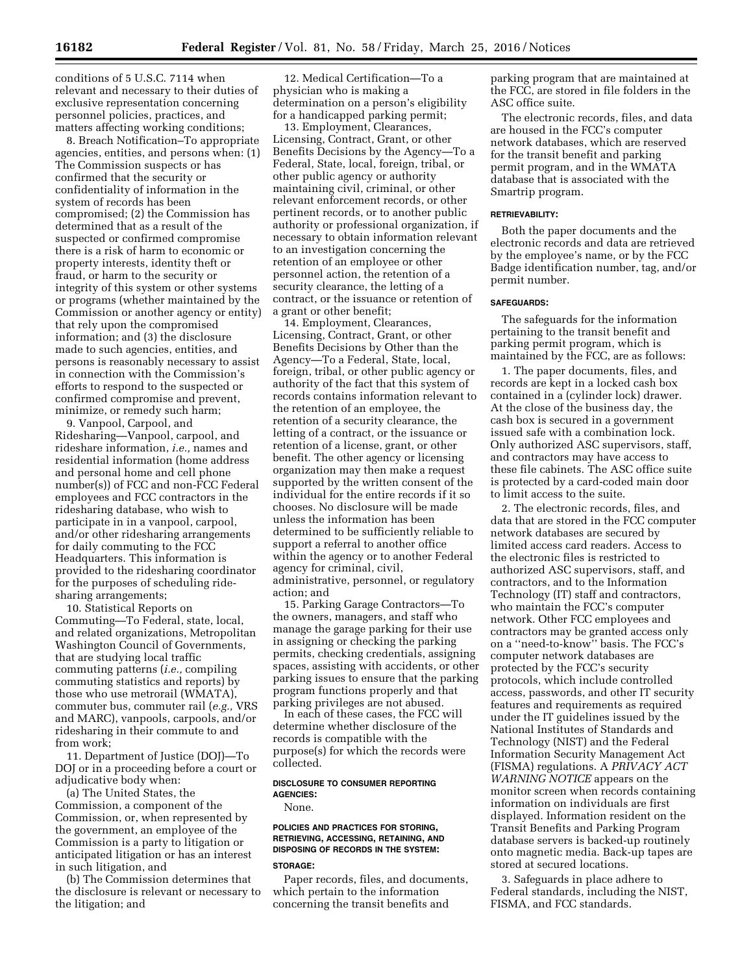conditions of 5 U.S.C. 7114 when relevant and necessary to their duties of exclusive representation concerning personnel policies, practices, and matters affecting working conditions;

8. Breach Notification–To appropriate agencies, entities, and persons when: (1) The Commission suspects or has confirmed that the security or confidentiality of information in the system of records has been compromised; (2) the Commission has determined that as a result of the suspected or confirmed compromise there is a risk of harm to economic or property interests, identity theft or fraud, or harm to the security or integrity of this system or other systems or programs (whether maintained by the Commission or another agency or entity) that rely upon the compromised information; and (3) the disclosure made to such agencies, entities, and persons is reasonably necessary to assist in connection with the Commission's efforts to respond to the suspected or confirmed compromise and prevent, minimize, or remedy such harm;

9. Vanpool, Carpool, and Ridesharing—Vanpool, carpool, and rideshare information, *i.e.,* names and residential information (home address and personal home and cell phone number(s)) of FCC and non-FCC Federal employees and FCC contractors in the ridesharing database, who wish to participate in in a vanpool, carpool, and/or other ridesharing arrangements for daily commuting to the FCC Headquarters. This information is provided to the ridesharing coordinator for the purposes of scheduling ridesharing arrangements;

10. Statistical Reports on Commuting—To Federal, state, local, and related organizations, Metropolitan Washington Council of Governments, that are studying local traffic commuting patterns (*i.e.,* compiling commuting statistics and reports) by those who use metrorail (WMATA), commuter bus, commuter rail (*e.g.,* VRS and MARC), vanpools, carpools, and/or ridesharing in their commute to and from work;

11. Department of Justice (DOJ)—To DOJ or in a proceeding before a court or adjudicative body when:

(a) The United States, the Commission, a component of the Commission, or, when represented by the government, an employee of the Commission is a party to litigation or anticipated litigation or has an interest in such litigation, and

(b) The Commission determines that the disclosure is relevant or necessary to the litigation; and

12. Medical Certification—To a physician who is making a determination on a person's eligibility for a handicapped parking permit;

13. Employment, Clearances, Licensing, Contract, Grant, or other Benefits Decisions by the Agency—To a Federal, State, local, foreign, tribal, or other public agency or authority maintaining civil, criminal, or other relevant enforcement records, or other pertinent records, or to another public authority or professional organization, if necessary to obtain information relevant to an investigation concerning the retention of an employee or other personnel action, the retention of a security clearance, the letting of a contract, or the issuance or retention of a grant or other benefit;

14. Employment, Clearances, Licensing, Contract, Grant, or other Benefits Decisions by Other than the Agency—To a Federal, State, local, foreign, tribal, or other public agency or authority of the fact that this system of records contains information relevant to the retention of an employee, the retention of a security clearance, the letting of a contract, or the issuance or retention of a license, grant, or other benefit. The other agency or licensing organization may then make a request supported by the written consent of the individual for the entire records if it so chooses. No disclosure will be made unless the information has been determined to be sufficiently reliable to support a referral to another office within the agency or to another Federal agency for criminal, civil, administrative, personnel, or regulatory action; and

15. Parking Garage Contractors—To the owners, managers, and staff who manage the garage parking for their use in assigning or checking the parking permits, checking credentials, assigning spaces, assisting with accidents, or other parking issues to ensure that the parking program functions properly and that parking privileges are not abused.

In each of these cases, the FCC will determine whether disclosure of the records is compatible with the purpose(s) for which the records were collected.

# **DISCLOSURE TO CONSUMER REPORTING AGENCIES:**

#### None.

# **POLICIES AND PRACTICES FOR STORING, RETRIEVING, ACCESSING, RETAINING, AND DISPOSING OF RECORDS IN THE SYSTEM:**

### **STORAGE:**

Paper records, files, and documents, which pertain to the information concerning the transit benefits and

parking program that are maintained at the FCC, are stored in file folders in the ASC office suite.

The electronic records, files, and data are housed in the FCC's computer network databases, which are reserved for the transit benefit and parking permit program, and in the WMATA database that is associated with the Smartrip program.

### **RETRIEVABILITY:**

Both the paper documents and the electronic records and data are retrieved by the employee's name, or by the FCC Badge identification number, tag, and/or permit number.

### **SAFEGUARDS:**

The safeguards for the information pertaining to the transit benefit and parking permit program, which is maintained by the FCC, are as follows:

1. The paper documents, files, and records are kept in a locked cash box contained in a (cylinder lock) drawer. At the close of the business day, the cash box is secured in a government issued safe with a combination lock. Only authorized ASC supervisors, staff, and contractors may have access to these file cabinets. The ASC office suite is protected by a card-coded main door to limit access to the suite.

2. The electronic records, files, and data that are stored in the FCC computer network databases are secured by limited access card readers. Access to the electronic files is restricted to authorized ASC supervisors, staff, and contractors, and to the Information Technology (IT) staff and contractors, who maintain the FCC's computer network. Other FCC employees and contractors may be granted access only on a ''need-to-know'' basis. The FCC's computer network databases are protected by the FCC's security protocols, which include controlled access, passwords, and other IT security features and requirements as required under the IT guidelines issued by the National Institutes of Standards and Technology (NIST) and the Federal Information Security Management Act (FISMA) regulations. A *PRIVACY ACT WARNING NOTICE* appears on the monitor screen when records containing information on individuals are first displayed. Information resident on the Transit Benefits and Parking Program database servers is backed-up routinely onto magnetic media. Back-up tapes are stored at secured locations.

3. Safeguards in place adhere to Federal standards, including the NIST, FISMA, and FCC standards.